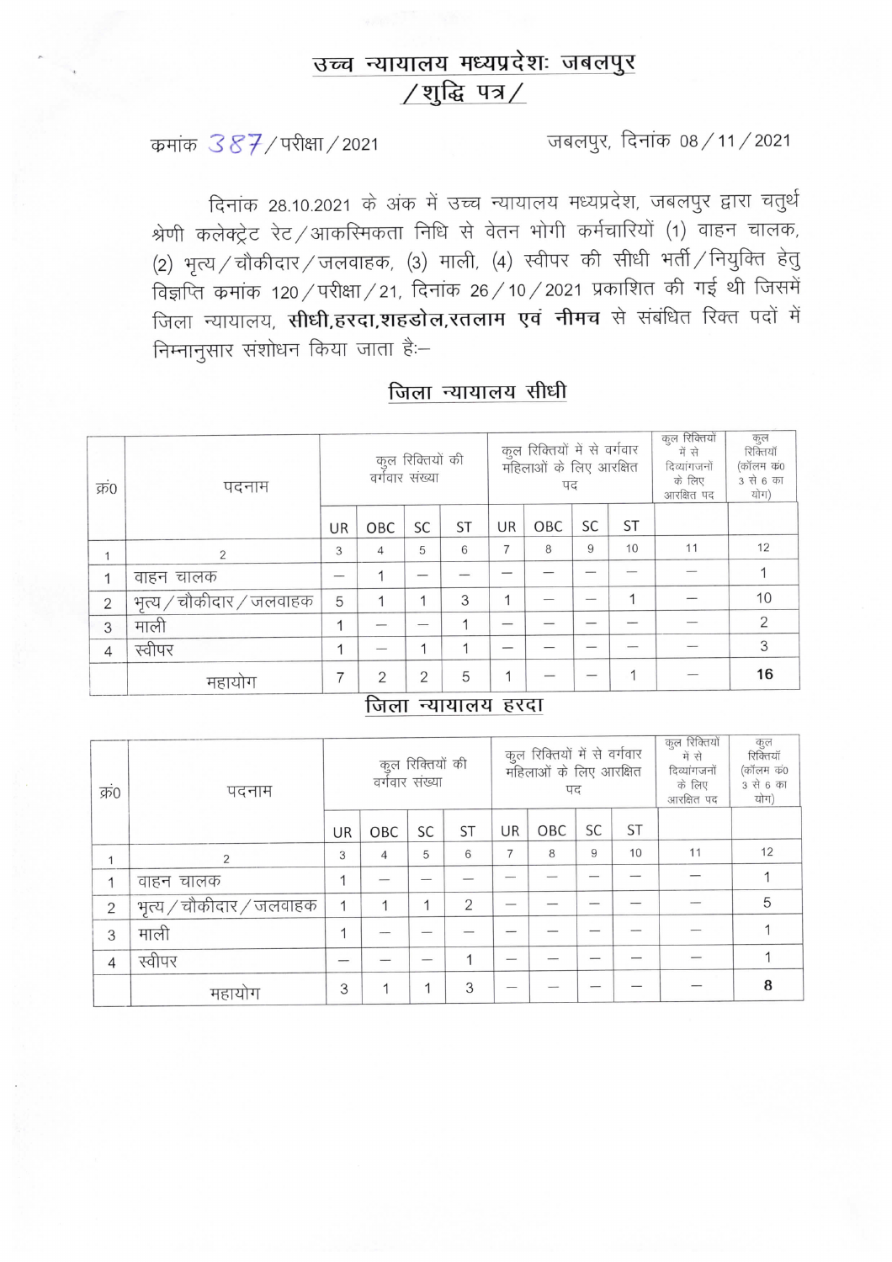# उच्च न्यायालय मध्यप्रदेशः जबलपुर /शुद्धि पत्र/

कमांक 387/परीक्षा/2021

जबलपुर, दिनांक 08 / 11 / 2021

दिनांक 28.10.2021 के अंक में उच्च न्यायालय मध्यप्रदेश, जबलपुर द्वारा चतुर्थ श्रेणी कलेक्ट्रेट रेट /आकरिमकता निधि से वेतन भोगी कर्मचारियों (1) वाहन चालक, (2) भृत्य / चौकीदार / जलवाहक, (3) माली, (4) स्वीपर की सीधी भर्ती / नियुक्ति हेतु विज्ञप्ति कमांक 120 / परीक्षा / 21, दिनांक 26 / 10 / 2021 प्रकाशित की गई थी जिसमें जिला न्यायालय, सीधी,हरदा,शहडोल,रतलाम एवं नीमच से संबंधित रिक्त पदों में निम्नानुसार संशोधन किया जाता है:-

| जिला न्यायालय सीधी |  |
|--------------------|--|
|                    |  |

| क्र0           | पदनाम                    | कुल रिक्तियों की<br>वर्गवार संख्या |                          |    |           |    | कुल रिक्तियों में से वर्गवार<br>महिलाओं के लिए आरक्षित<br>पद |    | कुल रिक्तियों<br>में से<br>दिव्यांगजनों<br>के लिए<br>आरक्षित पद | कुल<br>रिक्तियाँ<br>(कॉलम कं0<br>3 से 6 का<br>योग) |                |
|----------------|--------------------------|------------------------------------|--------------------------|----|-----------|----|--------------------------------------------------------------|----|-----------------------------------------------------------------|----------------------------------------------------|----------------|
|                |                          | UR                                 | OBC                      | SC | <b>ST</b> | UR | OBC                                                          | SC | <b>ST</b>                                                       |                                                    |                |
|                | $\overline{2}$           | 3                                  | $\overline{4}$           | 5  | 6         | 7  | 8                                                            | 9  | 10                                                              | 11                                                 | 12             |
|                | वाहन चालक                |                                    |                          |    |           |    |                                                              |    |                                                                 |                                                    |                |
| $\overline{2}$ | भृत्य / चौकीदार / जलवाहक | 5                                  | 1                        |    | 3         | 1  |                                                              |    |                                                                 |                                                    | 10             |
| 3              | माली                     | 1                                  |                          |    | -4        |    |                                                              |    |                                                                 |                                                    | $\overline{2}$ |
| 4              | स्वीपर                   | 1                                  |                          |    | 1         |    |                                                              |    |                                                                 |                                                    | 3              |
|                | महायोग                   | 7                                  | $\overline{2}$<br>$\sim$ | 2  | 5         | 1  |                                                              |    |                                                                 |                                                    | 16             |

#### जिला न्यायालय हरदा

| क्र0           | पदनाम                    | कुल रिक्तियों की<br>वर्गवार संख्या |                |    |           |    | कुल रिक्तियों में से वर्गवार<br>महिलाओं के लिए आरक्षित<br>पद |    | कुल रिक्तियों<br>में से<br>दिव्यांगजनों<br>के लिए<br>आरक्षित पद | कुल<br>रिक्तियाँ<br>(कॉलम कं0<br>3 से 6 का<br>योग) |    |
|----------------|--------------------------|------------------------------------|----------------|----|-----------|----|--------------------------------------------------------------|----|-----------------------------------------------------------------|----------------------------------------------------|----|
|                |                          | UR                                 | OBC            | SC | <b>ST</b> | UR | OBC                                                          | SC | <b>ST</b>                                                       |                                                    |    |
|                | 2                        | 3                                  | $\overline{4}$ | 5  | 6         | 7  | 8                                                            | 9  | 10                                                              | 11                                                 | 12 |
| 1              | वाहन चालक                | 1                                  |                |    |           |    |                                                              |    |                                                                 |                                                    |    |
| $\overline{2}$ | भृत्य / चौकीदार / जलवाहक | 1                                  |                |    | 2         |    |                                                              |    |                                                                 |                                                    | 5  |
| 3              | माली                     | и                                  |                |    |           |    |                                                              |    |                                                                 |                                                    |    |
| 4              | स्वीपर                   |                                    |                |    |           |    |                                                              |    |                                                                 |                                                    |    |
|                | महायोग                   | 3                                  |                |    | 3         |    |                                                              |    |                                                                 |                                                    | 8  |